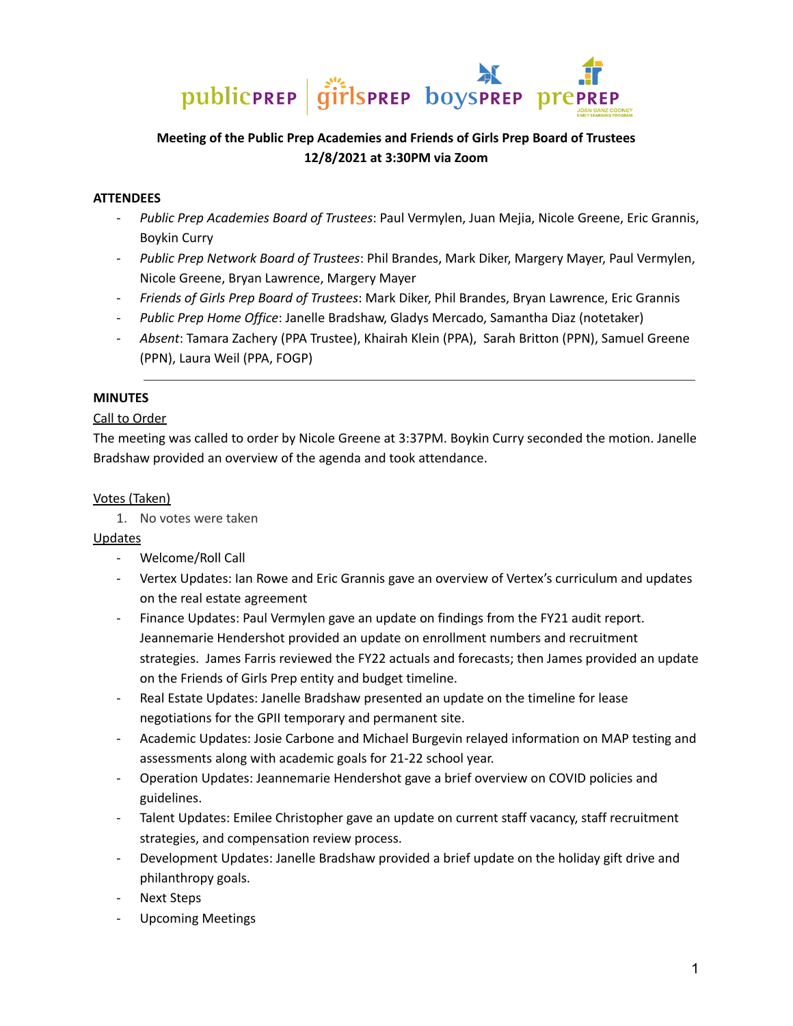

# **Meeting of the Public Prep Academies and Friends of Girls Prep Board of Trustees 12/8/2021 at 3:30PM via Zoom**

## **ATTENDEES**

- *Public Prep Academies Board of Trustees*: Paul Vermylen, Juan Mejia, Nicole Greene, Eric Grannis, Boykin Curry
- *Public Prep Network Board of Trustees*: Phil Brandes, Mark Diker, Margery Mayer, Paul Vermylen, Nicole Greene, Bryan Lawrence, Margery Mayer
- *Friends of Girls Prep Board of Trustees*: Mark Diker, Phil Brandes, Bryan Lawrence, Eric Grannis
- *Public Prep Home Office*: Janelle Bradshaw, Gladys Mercado, Samantha Diaz (notetaker)
- *Absent*: Tamara Zachery (PPA Trustee), Khairah Klein (PPA), Sarah Britton (PPN), Samuel Greene (PPN), Laura Weil (PPA, FOGP)

#### **MINUTES**

# Call to Order

The meeting was called to order by Nicole Greene at 3:37PM. Boykin Curry seconded the motion. Janelle Bradshaw provided an overview of the agenda and took attendance.

#### Votes (Taken)

1. No votes were taken

#### Updates

- Welcome/Roll Call
- Vertex Updates: Ian Rowe and Eric Grannis gave an overview of Vertex's curriculum and updates on the real estate agreement
- Finance Updates: Paul Vermylen gave an update on findings from the FY21 audit report. Jeannemarie Hendershot provided an update on enrollment numbers and recruitment strategies. James Farris reviewed the FY22 actuals and forecasts; then James provided an update on the Friends of Girls Prep entity and budget timeline.
- Real Estate Updates: Janelle Bradshaw presented an update on the timeline for lease negotiations for the GPII temporary and permanent site.
- Academic Updates: Josie Carbone and Michael Burgevin relayed information on MAP testing and assessments along with academic goals for 21-22 school year.
- Operation Updates: Jeannemarie Hendershot gave a brief overview on COVID policies and guidelines.
- Talent Updates: Emilee Christopher gave an update on current staff vacancy, staff recruitment strategies, and compensation review process.
- Development Updates: Janelle Bradshaw provided a brief update on the holiday gift drive and philanthropy goals.
- Next Steps
- Upcoming Meetings